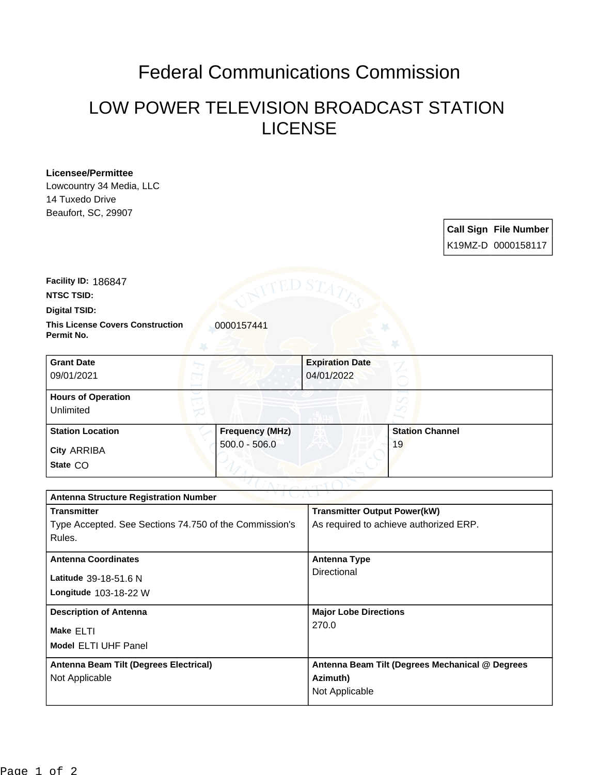## Federal Communications Commission

## LOW POWER TELEVISION BROADCAST STATION LICENSE

## **Licensee/Permittee**

Lowcountry 34 Media, LLC 14 Tuxedo Drive Beaufort, SC, 29907

| <b>Call Sign File Number</b> |
|------------------------------|
| K19MZ-D 0000158117           |

**NTSC TSID: Facility ID:** 186847

**Digital TSID:**

**This License Covers Construction**  0000157441 **Permit No.**

| <b>Grant Date</b><br>09/01/2021        |                        | <b>Expiration Date</b><br>04/01/2022 |                        |  |
|----------------------------------------|------------------------|--------------------------------------|------------------------|--|
| <b>Hours of Operation</b><br>Unlimited |                        |                                      |                        |  |
| <b>Station Location</b>                | <b>Frequency (MHz)</b> |                                      | <b>Station Channel</b> |  |
| <b>City ARRIBA</b><br>State CO         | $500.0 - 506.0$        |                                      | 19                     |  |

| つりまし パーレン<br><b>Antenna Structure Registration Number</b> |                                                 |  |  |  |
|-----------------------------------------------------------|-------------------------------------------------|--|--|--|
| <b>Transmitter</b>                                        | <b>Transmitter Output Power(kW)</b>             |  |  |  |
| Type Accepted. See Sections 74.750 of the Commission's    | As required to achieve authorized ERP.          |  |  |  |
| Rules.                                                    |                                                 |  |  |  |
| <b>Antenna Coordinates</b>                                | <b>Antenna Type</b>                             |  |  |  |
| Latitude 39-18-51.6 N                                     | Directional                                     |  |  |  |
| Longitude $103-18-22$ W                                   |                                                 |  |  |  |
|                                                           |                                                 |  |  |  |
| <b>Description of Antenna</b>                             | <b>Major Lobe Directions</b>                    |  |  |  |
| Make ELTI                                                 | 270.0                                           |  |  |  |
| <b>Model ELTI UHF Panel</b>                               |                                                 |  |  |  |
| Antenna Beam Tilt (Degrees Electrical)                    | Antenna Beam Tilt (Degrees Mechanical @ Degrees |  |  |  |
| Not Applicable                                            | Azimuth)                                        |  |  |  |
|                                                           | Not Applicable                                  |  |  |  |
|                                                           |                                                 |  |  |  |